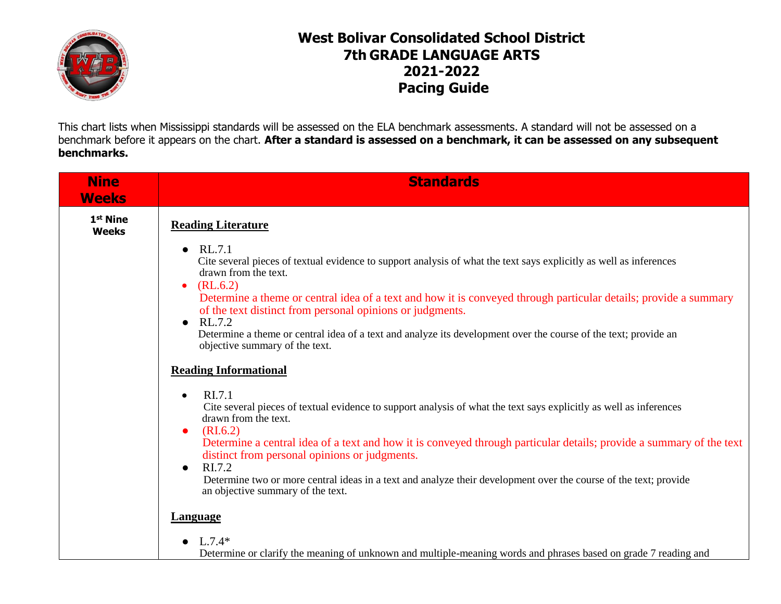

## **West Bolivar Consolidated School District 7th GRADE LANGUAGE ARTS 2021-2022 Pacing Guide**

This chart lists when Mississippi standards will be assessed on the ELA benchmark assessments. A standard will not be assessed on a benchmark before it appears on the chart. **After a standard is assessed on a benchmark, it can be assessed on any subsequent benchmarks.**

| <b>Nine</b><br><b>Weeks</b>          | <b>Standards</b>                                                                                                                                                                                     |
|--------------------------------------|------------------------------------------------------------------------------------------------------------------------------------------------------------------------------------------------------|
| 1 <sup>st</sup> Nine<br><b>Weeks</b> | <b>Reading Literature</b>                                                                                                                                                                            |
|                                      | RL.7.1<br>$\bullet$<br>Cite several pieces of textual evidence to support analysis of what the text says explicitly as well as inferences<br>drawn from the text.<br>(RL.6.2)<br>$\bullet$           |
|                                      | Determine a theme or central idea of a text and how it is conveyed through particular details; provide a summary<br>of the text distinct from personal opinions or judgments.<br>RL.7.2<br>$\bullet$ |
|                                      | Determine a theme or central idea of a text and analyze its development over the course of the text; provide an<br>objective summary of the text.                                                    |
|                                      | <b>Reading Informational</b>                                                                                                                                                                         |
|                                      | RI.7.1<br>$\bullet$<br>Cite several pieces of textual evidence to support analysis of what the text says explicitly as well as inferences<br>drawn from the text.<br>(RI.6.2)<br>$\bullet$           |
|                                      | Determine a central idea of a text and how it is conveyed through particular details; provide a summary of the text<br>distinct from personal opinions or judgments.<br>RI.7.2<br>$\bullet$          |
|                                      | Determine two or more central ideas in a text and analyze their development over the course of the text; provide<br>an objective summary of the text.                                                |
|                                      | Language                                                                                                                                                                                             |
|                                      | $L.7.4*$<br>Determine or clarify the meaning of unknown and multiple-meaning words and phrases based on grade 7 reading and                                                                          |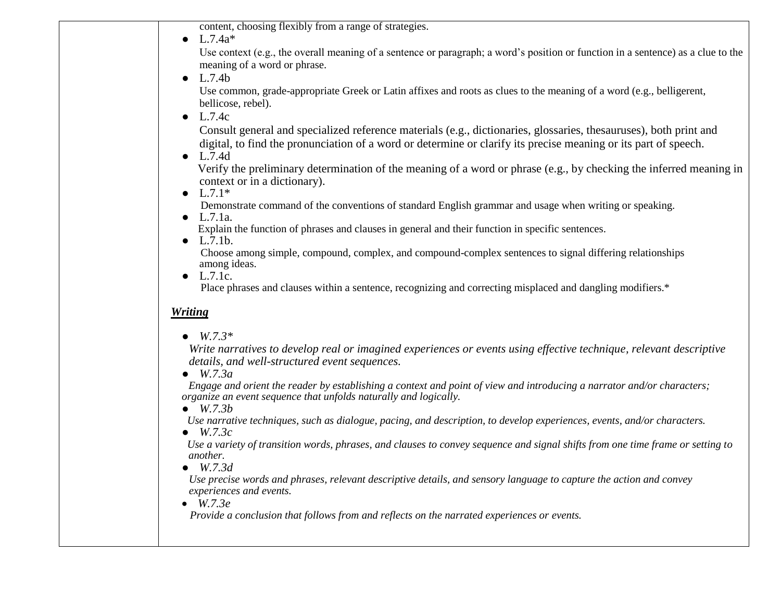content, choosing flexibly from a range of strategies.

 $\bullet$  L.7.4a\*

Use context (e.g., the overall meaning of a sentence or paragraph; a word's position or function in a sentence) as a clue to the meaning of a word or phrase.

 $\bullet$  L.7.4b

Use common, grade-appropriate Greek or Latin affixes and roots as clues to the meaning of a word (e.g., belligerent, bellicose, rebel).

 $\bullet$  L.7.4c

Consult general and specialized reference materials (e.g., dictionaries, glossaries, thesauruses), both print and digital, to find the pronunciation of a word or determine or clarify its precise meaning or its part of speech.

 $\bullet$  L.7.4d

 Verify the preliminary determination of the meaning of a word or phrase (e.g., by checking the inferred meaning in context or in a dictionary).

 $\bullet$  L.7.1<sup>\*</sup>

Demonstrate command of the conventions of standard English grammar and usage when writing or speaking.

 $\bullet$  L.7.1a.

Explain the function of phrases and clauses in general and their function in specific sentences.

 $\bullet$  L.7.1b.

 Choose among simple, compound, complex, and compound-complex sentences to signal differing relationships among ideas.

 $\bullet$  L.7.1c.

Place phrases and clauses within a sentence, recognizing and correcting misplaced and dangling modifiers.\*

## *Writing*

● *W.7.3\**

*Write narratives to develop real or imagined experiences or events using effective technique, relevant descriptive details, and well-structured event sequences.*

● *W.7.3a*

 *Engage and orient the reader by establishing a context and point of view and introducing a narrator and/or characters; organize an event sequence that unfolds naturally and logically.*

● *W.7.3b*

 *Use narrative techniques, such as dialogue, pacing, and description, to develop experiences, events, and/or characters.*

● *W.7.3c*

 *Use a variety of transition words, phrases, and clauses to convey sequence and signal shifts from one time frame or setting to another.*

● *W.7.3d*

*Use precise words and phrases, relevant descriptive details, and sensory language to capture the action and convey experiences and events.*

 $\bullet$  *W.7.3e* 

 *Provide a conclusion that follows from and reflects on the narrated experiences or events.*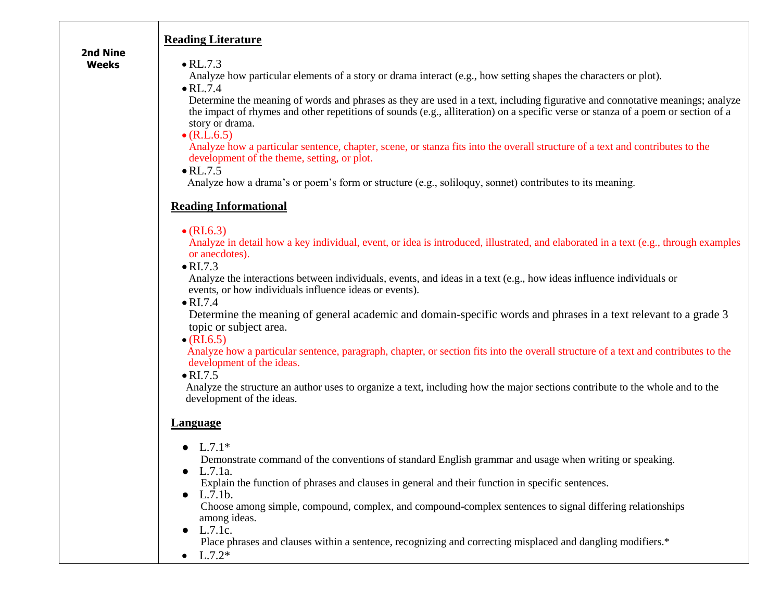|                          | <b>Reading Literature</b>                                                                                                                                                                                                                                                                                                                                                                                                                                                                                                                                                                                                                                                                                                                                                              |
|--------------------------|----------------------------------------------------------------------------------------------------------------------------------------------------------------------------------------------------------------------------------------------------------------------------------------------------------------------------------------------------------------------------------------------------------------------------------------------------------------------------------------------------------------------------------------------------------------------------------------------------------------------------------------------------------------------------------------------------------------------------------------------------------------------------------------|
| 2nd Nine<br><b>Weeks</b> | $\bullet$ RL.7.3<br>Analyze how particular elements of a story or drama interact (e.g., how setting shapes the characters or plot).<br>$\bullet$ RL.7.4<br>Determine the meaning of words and phrases as they are used in a text, including figurative and connotative meanings; analyze<br>the impact of rhymes and other repetitions of sounds (e.g., alliteration) on a specific verse or stanza of a poem or section of a<br>story or drama.<br>$\bullet$ (R.L.6.5)<br>Analyze how a particular sentence, chapter, scene, or stanza fits into the overall structure of a text and contributes to the<br>development of the theme, setting, or plot.<br>$\bullet$ RL.7.5<br>Analyze how a drama's or poem's form or structure (e.g., soliloquy, sonnet) contributes to its meaning. |
|                          | <b>Reading Informational</b>                                                                                                                                                                                                                                                                                                                                                                                                                                                                                                                                                                                                                                                                                                                                                           |
|                          | $\bullet$ (RI.6.3)<br>Analyze in detail how a key individual, event, or idea is introduced, illustrated, and elaborated in a text (e.g., through examples<br>or anecdotes).<br>$\bullet$ RI.7.3                                                                                                                                                                                                                                                                                                                                                                                                                                                                                                                                                                                        |
|                          | Analyze the interactions between individuals, events, and ideas in a text (e.g., how ideas influence individuals or<br>events, or how individuals influence ideas or events).                                                                                                                                                                                                                                                                                                                                                                                                                                                                                                                                                                                                          |
|                          | $\bullet$ RI.7.4<br>Determine the meaning of general academic and domain-specific words and phrases in a text relevant to a grade 3<br>topic or subject area.<br>$\bullet$ (RI.6.5)                                                                                                                                                                                                                                                                                                                                                                                                                                                                                                                                                                                                    |
|                          | Analyze how a particular sentence, paragraph, chapter, or section fits into the overall structure of a text and contributes to the<br>development of the ideas.<br>$\bullet$ RI.7.5                                                                                                                                                                                                                                                                                                                                                                                                                                                                                                                                                                                                    |
|                          | Analyze the structure an author uses to organize a text, including how the major sections contribute to the whole and to the<br>development of the ideas.                                                                                                                                                                                                                                                                                                                                                                                                                                                                                                                                                                                                                              |
|                          | <b>Language</b>                                                                                                                                                                                                                                                                                                                                                                                                                                                                                                                                                                                                                                                                                                                                                                        |
|                          | • $L.7.1*$<br>Demonstrate command of the conventions of standard English grammar and usage when writing or speaking.<br>L.7.1a<br>$\bullet$<br>Explain the function of phrases and clauses in general and their function in specific sentences.<br>L.7.1b.<br>$\bullet$<br>Choose among simple, compound, complex, and compound-complex sentences to signal differing relationships<br>among ideas.<br>$\bullet$ L.7.1c.<br>Place phrases and clauses within a sentence, recognizing and correcting misplaced and dangling modifiers.*<br>$L.7.2*$                                                                                                                                                                                                                                     |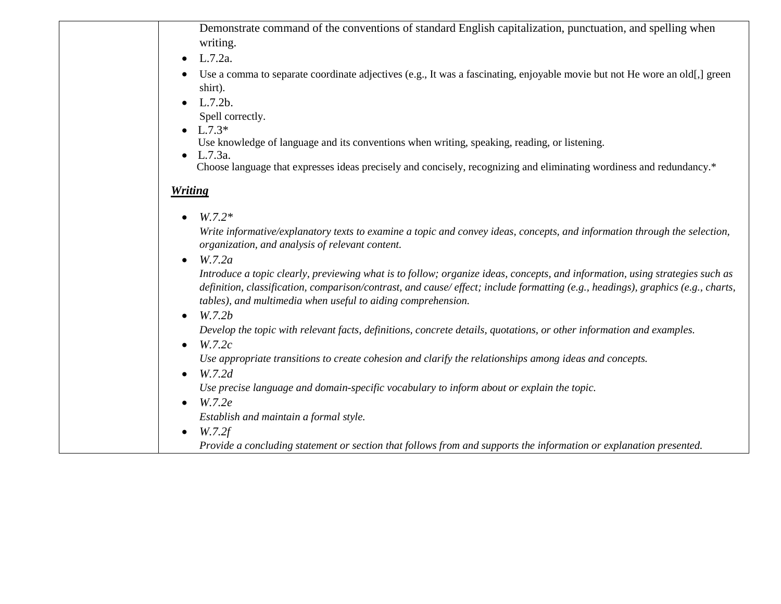Demonstrate command of the conventions of standard English capitalization, punctuation, and spelling when writing.

- $-L.7.2a.$
- Use a comma to separate coordinate adjectives (e.g., It was a fascinating, enjoyable movie but not He wore an old[,] green shirt).
- $-L.7.2b.$

Spell correctly.

 $-L.7.3*$ 

Use knowledge of language and its conventions when writing, speaking, reading, or listening.

 $-L.7.3a.$ 

Choose language that expresses ideas precisely and concisely, recognizing and eliminating wordiness and redundancy.\*

## *Writing*

*W.7.2\**

*Write informative/explanatory texts to examine a topic and convey ideas, concepts, and information through the selection, organization, and analysis of relevant content.*

*W.7.2a*

*Introduce a topic clearly, previewing what is to follow; organize ideas, concepts, and information, using strategies such as definition, classification, comparison/contrast, and cause/ effect; include formatting (e.g., headings), graphics (e.g., charts, tables), and multimedia when useful to aiding comprehension.*

*W.7.2b*

*Develop the topic with relevant facts, definitions, concrete details, quotations, or other information and examples.*

*W.7.2c*

*Use appropriate transitions to create cohesion and clarify the relationships among ideas and concepts.*

*W.7.2d*

 *Use precise language and domain-specific vocabulary to inform about or explain the topic.*

- *W.7.2e Establish and maintain a formal style.*
- *W.7.2f*

*Provide a concluding statement or section that follows from and supports the information or explanation presented.*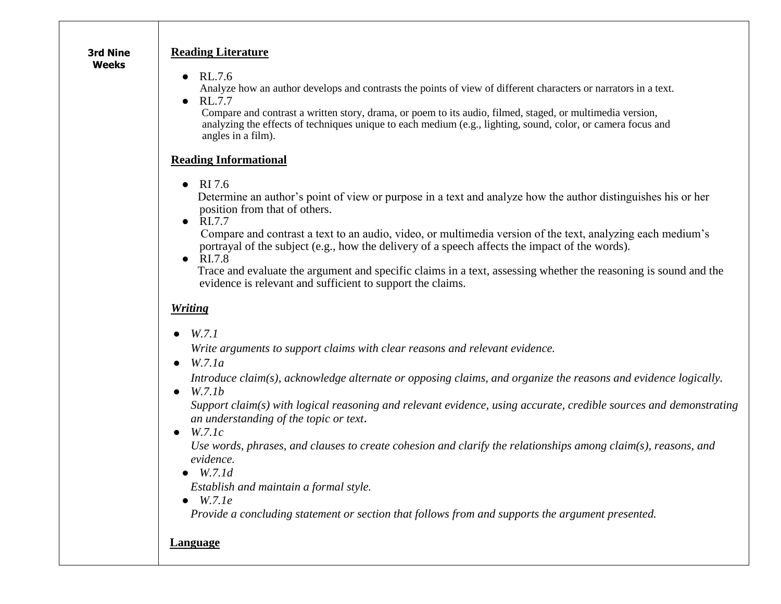| <b>3rd Nine</b> | <b>Reading Literature</b>                                                                                                                                                                                                                                                                                                                                                                      |
|-----------------|------------------------------------------------------------------------------------------------------------------------------------------------------------------------------------------------------------------------------------------------------------------------------------------------------------------------------------------------------------------------------------------------|
| <b>Weeks</b>    | RL.7.6<br>Analyze how an author develops and contrasts the points of view of different characters or narrators in a text.<br>RL.7.7<br>Compare and contrast a written story, drama, or poem to its audio, filmed, staged, or multimedia version,<br>analyzing the effects of techniques unique to each medium (e.g., lighting, sound, color, or camera focus and<br>angles in a film).         |
|                 | <b>Reading Informational</b>                                                                                                                                                                                                                                                                                                                                                                   |
|                 | RI 7.6<br>Determine an author's point of view or purpose in a text and analyze how the author distinguishes his or her<br>position from that of others.<br>RI.7.7<br>$\bullet$<br>Compare and contrast a text to an audio, video, or multimedia version of the text, analyzing each medium's<br>portrayal of the subject (e.g., how the delivery of a speech affects the impact of the words). |
|                 | $\bullet$ RI.7.8<br>Trace and evaluate the argument and specific claims in a text, assessing whether the reasoning is sound and the<br>evidence is relevant and sufficient to support the claims.                                                                                                                                                                                              |
|                 | <b>Writing</b>                                                                                                                                                                                                                                                                                                                                                                                 |
|                 | W.7.1<br>Write arguments to support claims with clear reasons and relevant evidence.<br>W.7.1a<br>$\bullet$<br>Introduce claim(s), acknowledge alternate or opposing claims, and organize the reasons and evidence logically.                                                                                                                                                                  |
|                 | W.7.1b<br>$\bullet$<br>Support claim(s) with logical reasoning and relevant evidence, using accurate, credible sources and demonstrating<br>an understanding of the topic or text.<br>W.7.1c<br>$\bullet$                                                                                                                                                                                      |
|                 | Use words, phrases, and clauses to create cohesion and clarify the relationships among claim(s), reasons, and<br>evidence.<br>W.7.1d<br>Establish and maintain a formal style.                                                                                                                                                                                                                 |
|                 | W.7.1e<br>Provide a concluding statement or section that follows from and supports the argument presented.                                                                                                                                                                                                                                                                                     |
|                 | <b>Language</b>                                                                                                                                                                                                                                                                                                                                                                                |
|                 |                                                                                                                                                                                                                                                                                                                                                                                                |